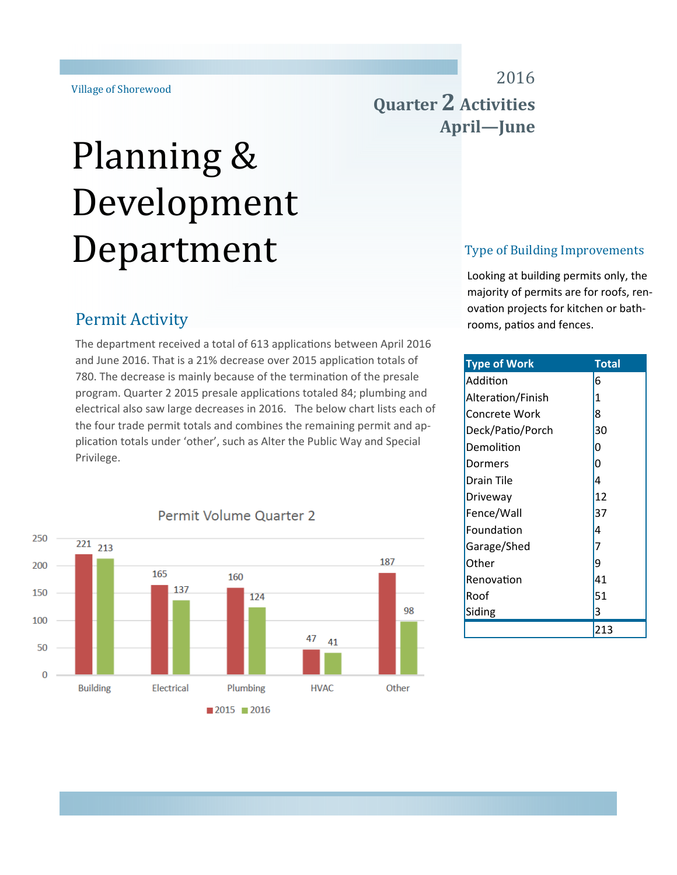# Planning & Development Department

# 2016 **Quarter 2 Activities** April—June

#### Type of Building Improvements

Looking at building permits only, the majority of permits are for roofs, renovation projects for kitchen or bathrooms, patios and fences.

| <b>Type of Work</b> | <b>Total</b>   |
|---------------------|----------------|
| Addition            | 6              |
| Alteration/Finish   | 1              |
| Concrete Work       | 8              |
| Deck/Patio/Porch    | 30             |
| Demolition          | 0              |
| Dormers             | 0              |
| Drain Tile          | 4              |
| Driveway            | 12             |
| Fence/Wall          | 37             |
| Foundation          | 4              |
| Garage/Shed         | $\overline{7}$ |
| Other               | 9              |
| Renovation          | 41             |
| Roof                | 51             |
| Siding              | 3              |
|                     | 213            |

## **Permit Activity**

The department received a total of 613 applications between April 2016 and June 2016. That is a 21% decrease over 2015 application totals of 780. The decrease is mainly because of the termination of the presale program. Quarter 2 2015 presale applications totaled 84; plumbing and electrical also saw large decreases in 2016. The below chart lists each of the four trade permit totals and combines the remaining permit and application totals under 'other', such as Alter the Public Way and Special Privilege.



#### Permit Volume Quarter 2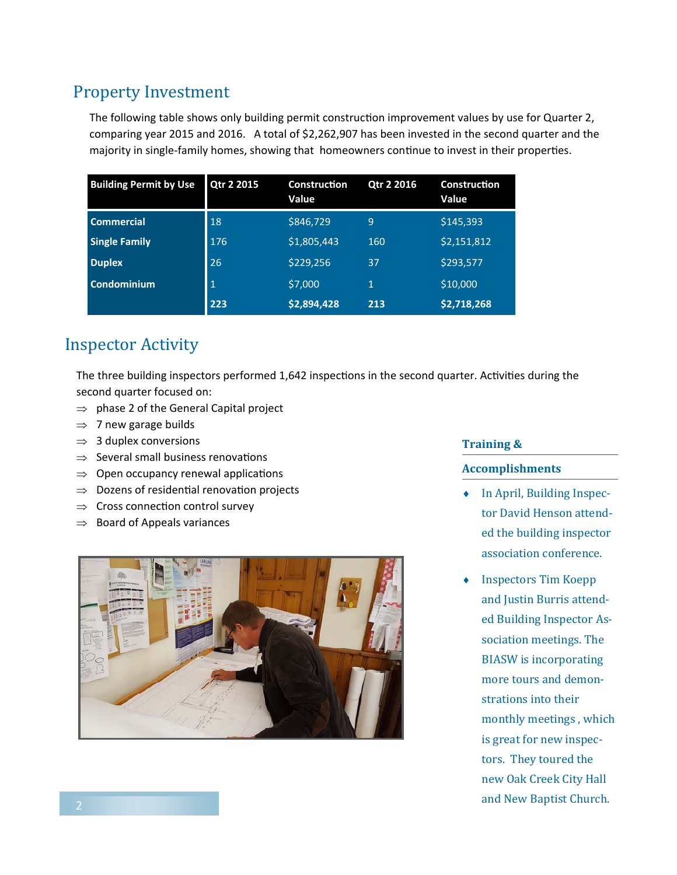## Property Investment

The following table shows only building permit construction improvement values by use for Quarter 2, comparing year 2015 and 2016. A total of \$2,262,907 has been invested in the second quarter and the majority in single-family homes, showing that homeowners continue to invest in their properties.

| <b>Building Permit by Use</b> | Qtr 2 2015 | <b>Construction</b><br>Value | Qtr 2 2016  | <b>Construction</b><br>Value |
|-------------------------------|------------|------------------------------|-------------|------------------------------|
| <b>Commercial</b>             | 18         | \$846,729                    | 9           | \$145,393                    |
| <b>Single Family</b>          | 176        | \$1,805,443                  | 160         | \$2,151,812                  |
| <b>Duplex</b>                 | 26         | \$229,256                    | 37          | \$293,577                    |
| <b>Condominium</b>            | 1          | \$7,000                      | $\mathbf 1$ | \$10,000                     |
|                               | 223        | \$2,894,428                  | 213         | \$2,718,268                  |

## **Inspector Activity**

The three building inspectors performed 1,642 inspections in the second quarter. Activities during the second quarter focused on:

- $\Rightarrow$  phase 2 of the General Capital project
- $\Rightarrow$  7 new garage builds
- $\Rightarrow$  3 duplex conversions
- $\Rightarrow$  Several small business renovations
- $\Rightarrow$  Open occupancy renewal applications
- $\Rightarrow$  Dozens of residential renovation projects
- $\Rightarrow$  Cross connection control survey
- $\Rightarrow$  Board of Appeals variances



#### **Training &**

#### **Accomplishments**

- $\bullet$  In April, Building Inspector David Henson attended the building inspector association conference.
- Inspectors Tim Koepp and Justin Burris attended Building Inspector Association meetings. The **BIASW** is incorporating more tours and demonstrations into their monthly meetings, which is great for new inspectors. They toured the new Oak Creek City Hall and New Baptist Church.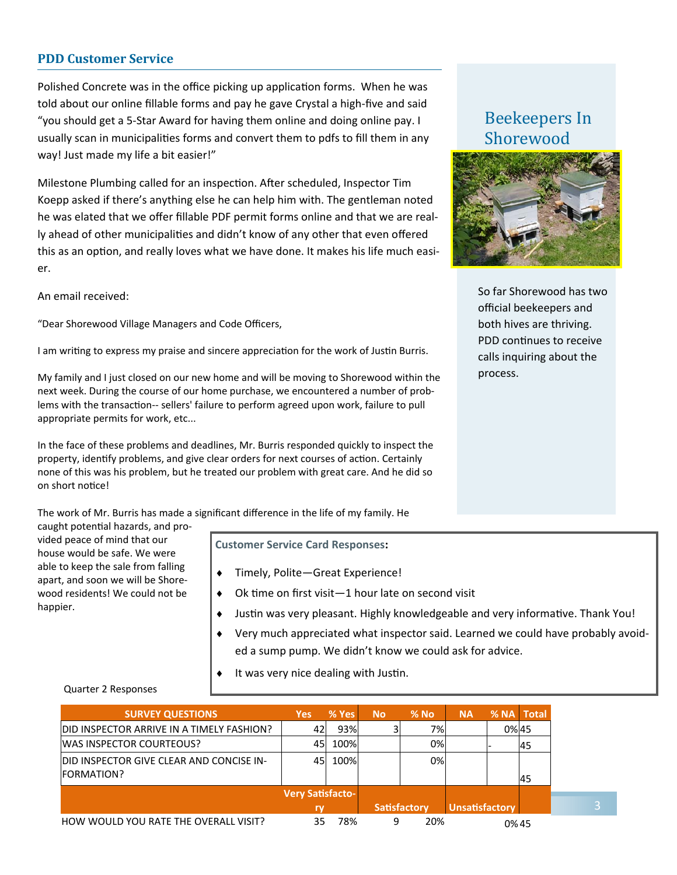#### **PDD Customer Service**

Polished Concrete was in the office picking up application forms. When he was told about our online fillable forms and pay he gave Crystal a high-five and said "you should get a 5-Star Award for having them online and doing online pay. I usually scan in municipalities forms and convert them to pdfs to fill them in any way! Just made my life a bit easier!"

Milestone Plumbing called for an inspection. After scheduled, Inspector Tim Koepp asked if there's anything else he can help him with. The gentleman noted he was elated that we offer fillable PDF permit forms online and that we are really ahead of other municipalities and didn't know of any other that even offered this as an option, and really loves what we have done. It makes his life much easier.

An email received:

"Dear Shorewood Village Managers and Code Officers,

I am writing to express my praise and sincere appreciation for the work of Justin Burris.

My family and I just closed on our new home and will be moving to Shorewood within the next week. During the course of our home purchase, we encountered a number of problems with the transaction-- sellers' failure to perform agreed upon work, failure to pull appropriate permits for work, etc...

In the face of these problems and deadlines, Mr. Burris responded quickly to inspect the property, identify problems, and give clear orders for next courses of action. Certainly none of this was his problem, but he treated our problem with great care. And he did so on short notice!

The work of Mr. Burris has made a significant difference in the life of my family. He

caught potential hazards, and provided peace of mind that our house would be safe. We were able to keep the sale from falling apart, and soon we will be Shorewood residents! We could not be happier.

Quarter 2 Responses

**Customer Service Card Responses:** 

- ◆ Timely, Polite–Great Experience!
- $\bullet$  Ok time on first visit—1 hour late on second visit
- Justin was very pleasant. Highly knowledgeable and very informative. Thank You!
- Very much appreciated what inspector said. Learned we could have probably avoided a sump pump. We didn't know we could ask for advice.
- It was very nice dealing with Justin.

#### **SURVEY QUESTIONS Yes % Yes No % No NA % NA Total**  DID INSPECTOR ARRIVE IN A TIMELY FASHION?  $\begin{vmatrix} 42 & 93\% & 3 & 7\% \end{vmatrix}$   $\qquad$   $\begin{vmatrix} 0\% & 45 \end{vmatrix}$ WAS INSPECTOR COURTEOUS? 45 100% 0% - 45 DID INSPECTOR GIVE CLEAR AND CONCISE IN-FORMATION? 45 100% 0% 45 **Very Satisfactory Satisfactory Unsatisfactory** HOW WOULD YOU RATE THE OVERALL VISIT?  $35$  78% 9 20% 0% 0% 45

## Beekeepers In Shorewood



So far Shorewood has two official beekeepers and both hives are thriving. PDD continues to receive calls inquiring about the process.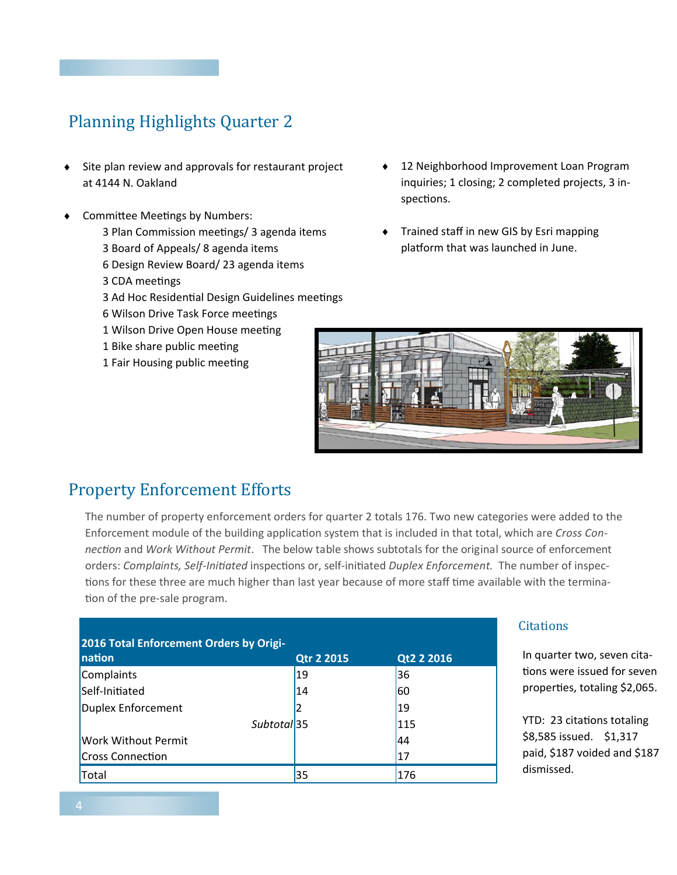## Planning Highlights Quarter 2

- ◆ Site plan review and approvals for restaurant project at 4144 N. Oakland
- Committee Meetings by Numbers:
	- 3 Plan Commission meetings/ 3 agenda items 3 Board of Appeals/ 8 agenda items
	- 6 Design Review Board/ 23 agenda items
	- 3 CDA meetings
	- 3 Ad Hoc Residential Design Guidelines meetings
	- 6 Wilson Drive Task Force meetings
	- 1 Wilson Drive Open House meeting
	- 1 Bike share public meeting
	- 1 Fair Housing public meeting
- 12 Neighborhood Improvement Loan Program inquiries; 1 closing; 2 completed projects, 3 inspections.
- Trained staff in new GIS by Esri mapping platform that was launched in June.



### **Property Enforcement Efforts**

The number of property enforcement orders for quarter 2 totals 176. Two new categories were added to the Enforcement module of the building application system that is included in that total, which are *Cross Connection* and *Work Without Permit*. The below table shows subtotals for the original source of enforcement orders: *Complaints, Self-Initiated* inspections or, self-initiated *Duplex Enforcement*. The number of inspections for these three are much higher than last year because of more staff time available with the termination of the pre-sale program.

| 2016 Total Enforcement Orders by Origi- |                   |            |  |  |  |  |
|-----------------------------------------|-------------------|------------|--|--|--|--|
| nation                                  | <b>Qtr 2 2015</b> | Qt2 2 2016 |  |  |  |  |
| Complaints                              | 19                | 36         |  |  |  |  |
| Self-Initiated                          | 14                | 60         |  |  |  |  |
| Duplex Enforcement                      | 2                 | 19         |  |  |  |  |
| Subtotal 35                             |                   | 115        |  |  |  |  |
| <b>Work Without Permit</b>              |                   | 44         |  |  |  |  |
| <b>Cross Connection</b>                 |                   | 17         |  |  |  |  |
| Total                                   | 35                | 176        |  |  |  |  |

#### **Citations**

In quarter two, seven citations were issued for seven properties, totaling \$2,065.

YTD: 23 citations totaling \$8,585 issued. \$1,317 paid, \$187 voided and \$187 dismissed.